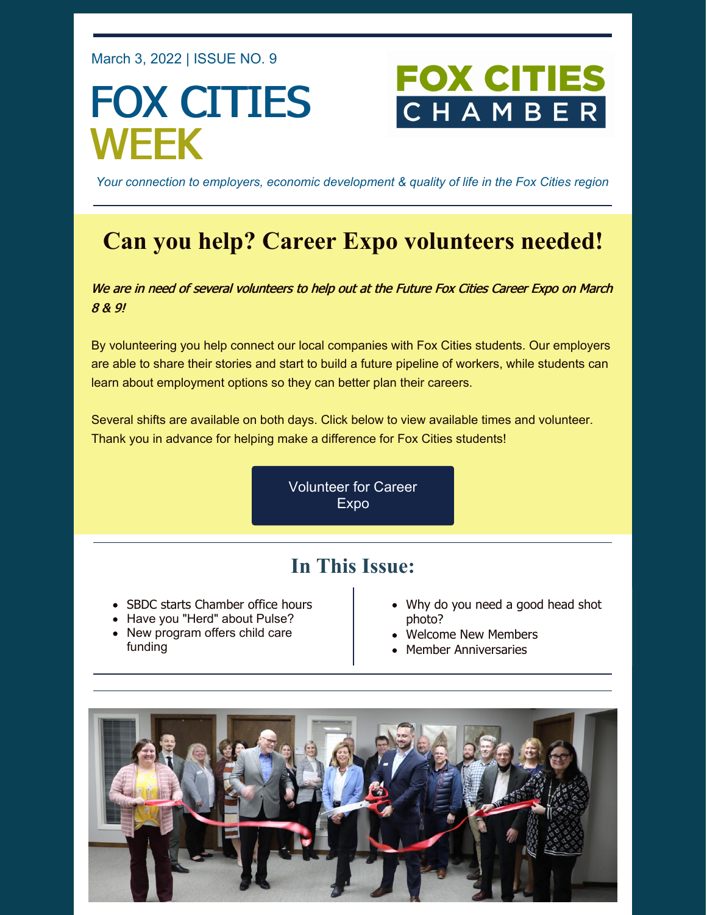March 3, 2022 | ISSUE NO. 9

## FOX CITIES WEEK

# FOX CITI

*Your connection to employers, economic development & quality of life in the Fox Cities region*

## **Can you help? Career Expo volunteers needed!**

We are in need of several volunteers to help out at the Future Fox Cities Career Expo on March 8 & 9!

By volunteering you help connect our local companies with Fox Cities students. Our employers are able to share their stories and start to build a future pipeline of workers, while students can learn about employment options so they can better plan their careers.

Several shifts are available on both days. Click below to view available times and volunteer. Thank you in advance for helping make a difference for Fox Cities students!

> [Volunteer](https://www.signupgenius.com/go/10c0f48a9ae2babf8c61-future) for Career Expo

## **In This Issue:**

- SBDC starts Chamber office hours
- Have you "Herd" about Pulse?
- New program offers child care funding
- Why do you need a good head shot photo?
- Welcome New Members
- Member Anniversaries

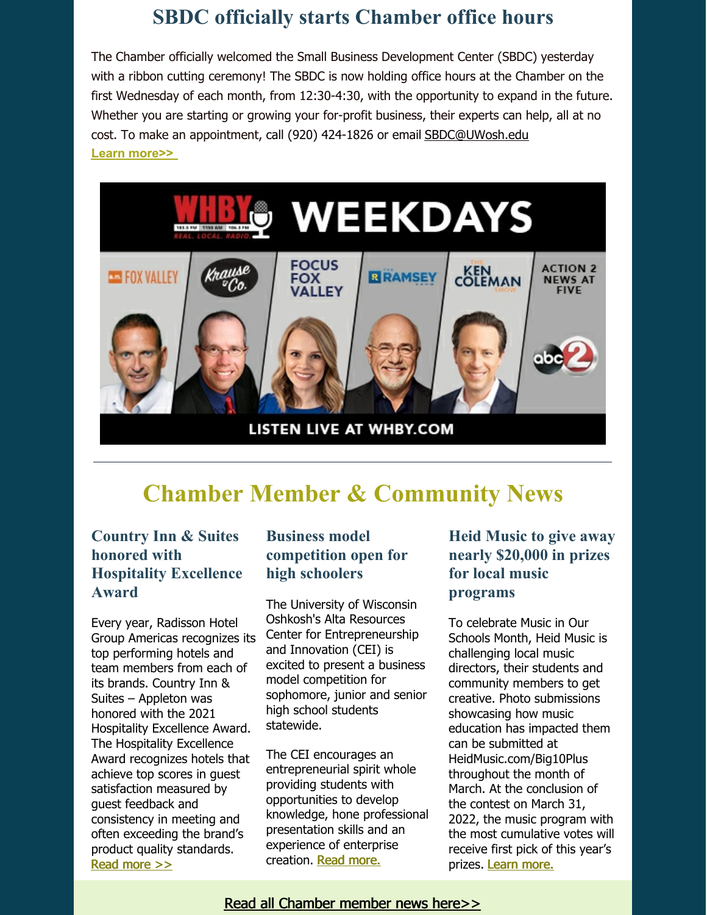## **SBDC officially starts Chamber office hours**

The Chamber officially welcomed the Small Business Development Center (SBDC) yesterday with a ribbon cutting ceremony! The SBDC is now holding office hours at the Chamber on the first Wednesday of each month, from 12:30-4:30, with the opportunity to expand in the future. Whether you are starting or growing your for-profit business, their experts can help, all at no cost. To make an appointment, call (920) 424-1826 or email [SBDC@UWosh.edu](mailto:SBDC@UWosh.edu) **Learn [more>>](http://www.wisconsinsbdc.org/oshkosh)**



## **Chamber Member & Community News**

#### **Country Inn & Suites honored with Hospitality Excellence Award**

Every year, Radisson Hotel Group Americas recognizes its top performing hotels and team members from each of its brands. Country Inn & Suites – Appleton was honored with the 2021 Hospitality Excellence Award. The Hospitality Excellence Award recognizes hotels that achieve top scores in guest satisfaction measured by guest feedback and consistency in meeting and often exceeding the brand's product quality standards. Read [more](https://foxcitieschamber.com/news/2022/03/02/member-news/country-inn-suites-appleton-honored-with-radisson-hotel-group-americas-hospitality-excellence-award/) >>

#### **Business model competition open for high schoolers**

The University of Wisconsin Oshkosh's Alta Resources Center for Entrepreneurship and Innovation (CEI) is excited to present a business model competition for sophomore, junior and senior high school students statewide.

The CEI encourages an entrepreneurial spirit whole providing students with opportunities to develop knowledge, hone professional presentation skills and an experience of enterprise creation. Read [more.](https://foxcitieschamber.com/news/2022/03/02/member-news/uw-oshkosh-alta-resources-center-for-entrepreneurship-and-innovation-offering-business-model-competition-for-high-schoolers/)

#### **Heid Music to give away nearly \$20,000 in prizes for local music programs**

To celebrate Music in Our Schools Month, Heid Music is challenging local music directors, their students and community members to get creative. Photo submissions showcasing how music education has impacted them can be submitted at HeidMusic.com/Big10Plus throughout the month of March. At the conclusion of the contest on March 31, 2022, the music program with the most cumulative votes will receive first pick of this year's prizes. Learn [more.](https://foxcitieschamber.com/news/2022/02/25/member-news/heid-music-will-give-away-nearly-20-000-in-prizes-for-local-music-programs-in-march/)

Read all [Chamber](https://foxcitieschamber.com/news/1/) member news here>>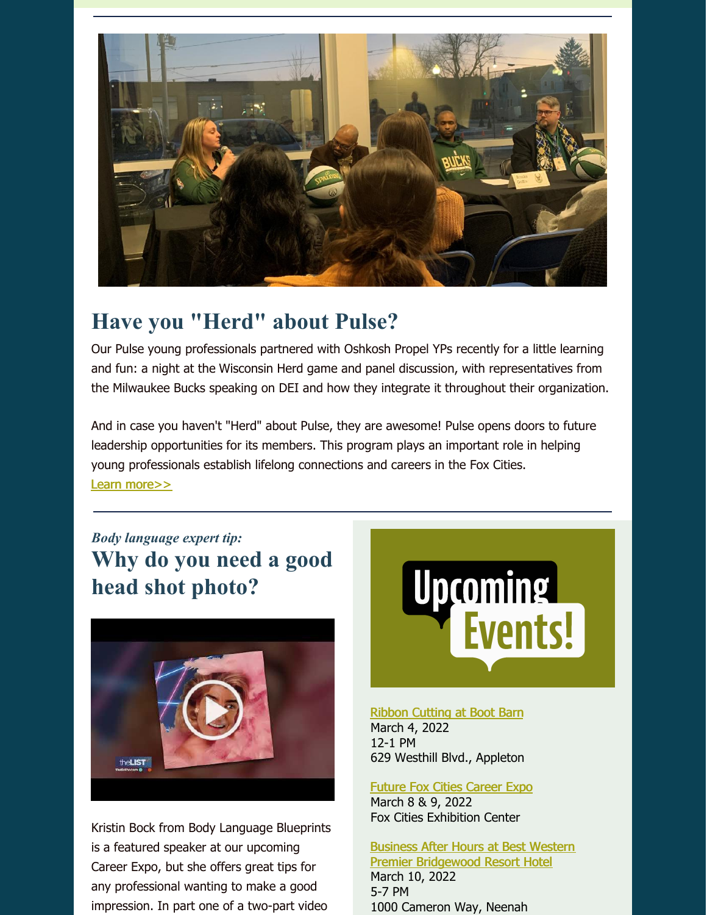

## **Have you "Herd" about Pulse?**

Our Pulse young professionals partnered with Oshkosh Propel YPs recently for a little learning and fun: a night at the [Wisconsin](https://www.facebook.com/WisconsinHerd/?__cft__%5B0%5D=AZVY6EEJwoF_PdjyKBVdcZuYpNvPHEaAMcBstCby1YrZrdS4Yodx-N9GF5lvM8pcJnfTyJF7UutaApHP2i0Yqg8Bo07Ab1iL4dt_Ljjz_EJQdhjsx_KTckdgg3kkxPUlP-pNLrjGN5Pe6birkY4dLZ5eyRwRD_TKwpJUt4PF2i7K7xkq-ePE9RXqA_NzcfQGL5qIDIo36tIX6cP7g1Ab52vF2zHGls7WmTO8gWmNNfHvTw&__tn__=kK-y-R) Herd game and panel discussion, with representatives from the Milwaukee Bucks speaking on DEI and how they integrate it throughout their organization.

And in case you haven't "Herd" about Pulse, they are awesome! Pulse opens doors to future leadership opportunities for its members. This program plays an important role in helping young professionals establish lifelong connections and careers in the Fox Cities. Learn [more>>](https://foxcitieschamber.com/pulse)

## *Body language expert tip:* **Why do you need a good head shot photo?**



Kristin Bock from Body Language Blueprints is a featured speaker at our upcoming Career Expo, but she offers great tips for any professional wanting to make a good impression. In part one of a two-part video



#### Ribbon [Cutting](https://business.foxcitieschamber.com/events/details/ribbon-cutting-boot-barn-17460) at Boot Barn March 4, 2022 12-1 PM

629 Westhill Blvd., Appleton

#### Future Fox Cities [Career](https://foxcitieschamber.com/talent/future-fox-cities-fox-cities-chamber/) Expo March 8 & 9, 2022 Fox Cities Exhibition Center

#### Business After Hours at Best Western Premier [Bridgewood](https://business.foxcitieschamber.com/events/details/2022-business-after-hours-march-17448) Resort Hotel March 10, 2022

5-7 PM 1000 Cameron Way, Neenah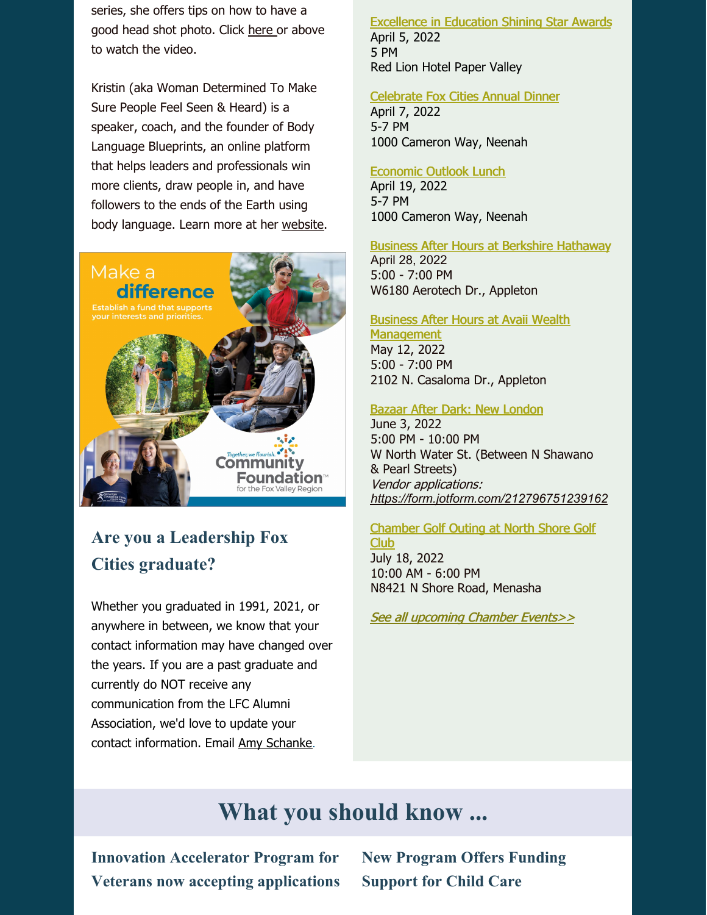series, she offers tips on how to have a good head shot photo. Click [here](https://youtu.be/Qnfy94ERXqk) or above to watch the video.

Kristin (aka Woman Determined To Make Sure People Feel Seen & Heard) is a speaker, coach, and the founder of Body Language Blueprints, an online platform that helps leaders and professionals win more clients, draw people in, and have followers to the ends of the Earth using body language. Learn more at her [website](https://bodylanguageblueprints.com/).



## **Are you a Leadership Fox Cities graduate?**

Whether you graduated in 1991, 2021, or anywhere in between, we know that your contact information may have changed over the years. If you are a past graduate and currently do NOT receive any communication from the LFC Alumni Association, we'd love to update your contact information. Email Amy [Schanke](mailto:aschanke@foxcitieschamber.com).

#### [Excellence](https://foxcitieschamber.com/talent/excellence-in-education-awards-fox-cities-chamber/) in Education Shining Star Awards April 5, 2022 5 PM Red Lion Hotel Paper Valley

#### [Celebrate](https://business.foxcitieschamber.com/events/details/celebrate-fox-cities-annual-dinner-17275) Fox Cities Annual Dinner

April 7, 2022 5-7 PM 1000 Cameron Way, Neenah

#### [Economic](https://business.foxcitieschamber.com/events/details/2022-economic-outlook-lunch-17239) Outlook Lunch

April 19, 2022 5-7 PM 1000 Cameron Way, Neenah

#### Business After Hours at Berkshire [Hathaway](https://business.foxcitieschamber.com/events/details/2022-business-after-hours-april-17449)

April 28, 2022 5:00 - 7:00 PM W6180 Aerotech Dr., Appleton

#### Business After Hours at Avaii Wealth

**[Management](https://business.foxcitieschamber.com/events/details/2022-business-after-hours-may-17450)** May 12, 2022 5:00 - 7:00 PM 2102 N. Casaloma Dr., Appleton

#### Bazaar After Dark: New [London](https://business.foxcitieschamber.com/events/details/bazaar-after-dark-new-london-17395)

June 3, 2022 5:00 PM - 10:00 PM W North Water St. (Between N Shawano & Pearl Streets) Vendor applications: *<https://form.jotform.com/212796751239162>*

#### [Chamber](https://business.foxcitieschamber.com/events/details/2022-fox-cities-chamber-golf-outing-north-shore-golf-club-17346) Golf Outing at North Shore Golf Club

July 18, 2022 10:00 AM - 6:00 PM N8421 N Shore Road, Menasha

See all [upcoming](https://business.foxcitieschamber.com/events/catgid/6) Chamber Events>>

## **What you should know ...**

**Innovation Accelerator Program for Veterans now accepting applications** **New Program Offers Funding Support for Child Care**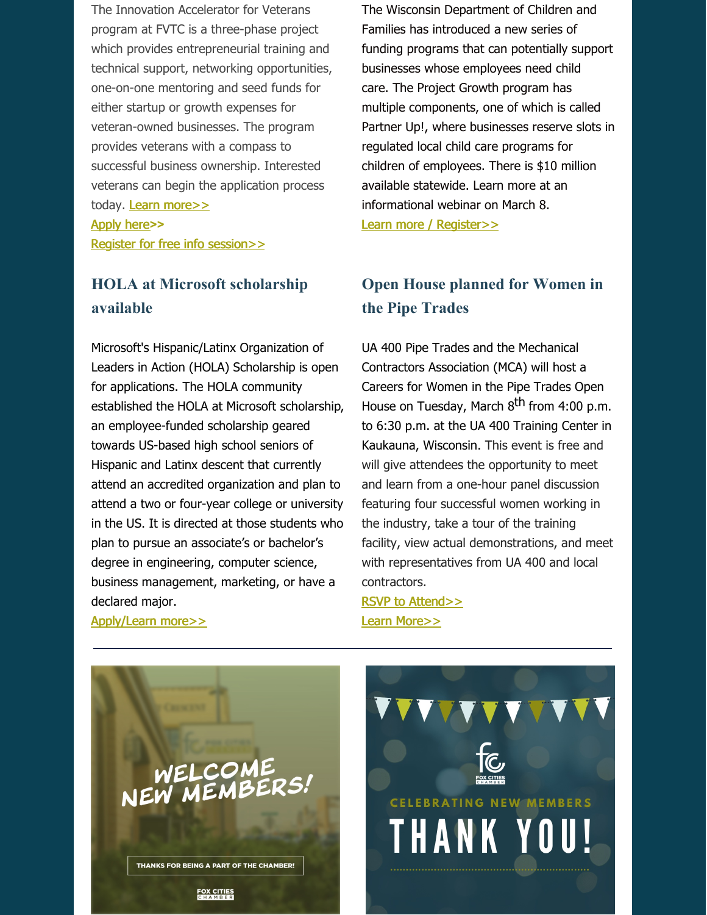The Innovation Accelerator for Veterans program at FVTC is a three-phase project which provides entrepreneurial training and technical support, networking opportunities, one-on-one mentoring and seed funds for either startup or growth expenses for veteran-owned businesses. The program provides veterans with a compass to successful business ownership. Interested veterans can begin the application process today. Learn [more>>](https://www.fvtc.edu/Portals/0/PDFs/BIS/Venture-Center/Innovation-Accelerator-Veterans-flyer-February-2021.pdf) [Apply](https://fvtc.az1.qualtrics.com/jfe/form/SV_4ZbuNu23FSF2zRQ) here**>>** Register for free info [session>>](https://foxvalleytechnicalcollege.formstack.com/forms/explore_innovation_accelerator_for_veterans)

#### **HOLA at Microsoft scholarship available**

Microsoft's Hispanic/Latinx Organization of Leaders in Action (HOLA) Scholarship is open for applications. The HOLA community established the HOLA at Microsoft [scholarship](https://r20.rs6.net/tn.jsp?f=001v0pwnm5F-vyebJjqURJNtIQulLxMuhr6GyFSX8uZ3Lc3BiUYnYUNw4w-fnqYa-RdARbjf-rE1DsoXSum5zIIqvQqeumNueH_i5in6Dc49yM-Pn2s7mN_0gt5e9qv72Nv9Cy-ZlRGAuKj2pYTOgZo0-FXh-_MOLKMv5sm1WAbqAAVW0ddB5_X5VdeQZfp9DvJhf9BBXlJIKHoGoA78ICNvCR19YhRvqE2ZJTmwR3VCk4Pxuqu2CDq164Y48NHBu3p2-OR6jY8oj8dG7ksq7x15daNg1HxW99-BUCZpIwnajgKXoBIyknEwELmT1yETqUguNpCR3mDU7VSMsOmxSmudr6qKpGjw3vZbOreLKPj63i_iYhFLTS-h__pn422-1RYEnHegTZJEhl9OOXVF6mdQgyZybLlsZh3OgU5zNVf07bcOnNDraxPDdO1cpBCb-DWS3wc9uy_TNy_QJiaGKJuoKlXqGBohmF8FHUUgUZBZvuBOXY3eq0MunXTDR2xUDxJTK9_FFCg_utc5EnGD1daQDtwLC3M_BINJVYrDgUgfcQA5iUPCRdt90uCEwYhuad0ujRH8fhQu-pEKLrcat4hDRF2XreNwlSKAWxTv_cY-ByQHJTGfbpoQmrtILbPPevLPFvzawJAx8CojLdFhZ940tD32bkc1Y5dfJePI9cjDANPJa1VfUlFHLruUmxU5KZ9&c=qSK2yRdGoa4wEE2fok1kad8irT3jnWgcIZ5RI63eJWCxZCSJou9JzA==&ch=XpZn_FFrHQNrrSqdIqcQ07m1Wcg5dVtiKyWH4buHhYNw3vy9-zNT2Q==), an employee-funded scholarship geared towards US-based high school seniors of Hispanic and Latinx descent that currently attend an accredited organization and plan to attend a two or four-year college or university in the US. It is directed at those students who plan to pursue an associate's or bachelor's degree in engineering, computer science, business management, marketing, or have a declared major.

[Apply/Learn](https://www.microsoft.com/en-us/diversity/programs/hola-scholarship.aspx) more>>

The Wisconsin Department of Children and Families has introduced a new series of funding programs that can potentially support businesses whose employees need child care. The Project Growth program has multiple components, one of which is called Partner Up!, where businesses reserve slots in regulated local child care programs for children of employees. There is \$10 million available statewide. Learn more at an informational webinar on March 8. Learn more / [Register>>](https://us02web.zoom.us/meeting/register/tZcqceihrDwtG90RkP9VCjDZ2rMLCru_bjsq)

#### **Open House planned for Women in the Pipe Trades**

UA 400 Pipe [Trades](https://ua400.org/) and the Mechanical Contractors Association (MCA) will host a Careers for Women in the Pipe Trades Open House on Tuesday, March 8<sup>th</sup> from 4:00 p.m. to 6:30 p.m. at the UA 400 Training Center in Kaukauna, Wisconsin. This event is free and will give attendees the opportunity to meet and learn from a one-hour panel discussion featuring four successful women working in the industry, take a tour of the training facility, view actual demonstrations, and meet with representatives from UA 400 and local contractors.

RSVP to [Attend>>](https://pipetradecareers.com/wi/400-2/) Learn [More>>](https://pipetradecareers.com/wp-content/uploads/2022/01/UA400-Womens-Open-House.pdf)